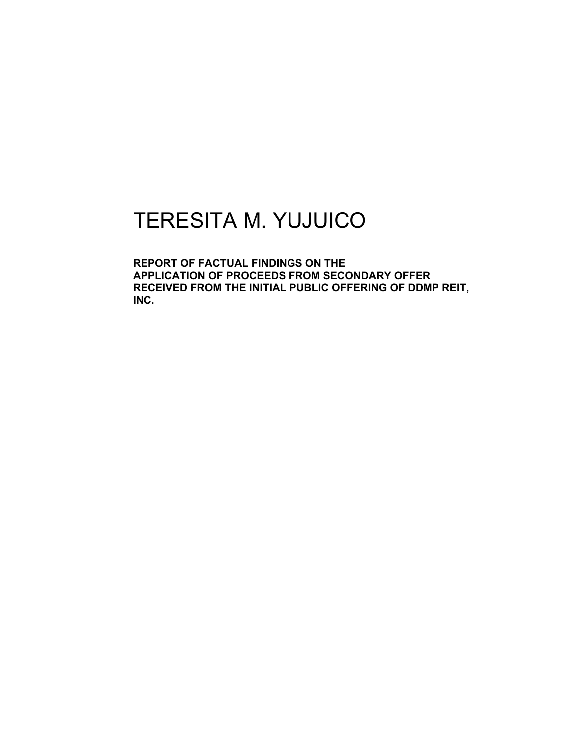## TERESITA M. YUJUICO

**REPORT OF FACTUAL FINDINGS ON THE APPLICATION OF PROCEEDS FROM SECONDARY OFFER RECEIVED FROM THE INITIAL PUBLIC OFFERING OF DDMP REIT, INC.**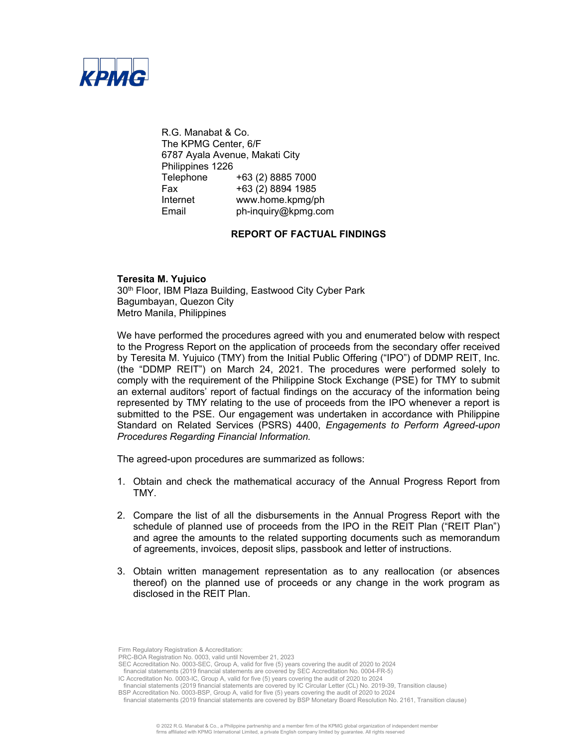

R.G. Manabat & Co. The KPMG Center, 6/F 6787 Ayala Avenue, Makati City Philippines 1226 Telephone +63 (2) 8885 7000 Fax +63 (2) 8894 1985 Internet www.home.kpmg/ph Email ph-inquiry@kpmg.com

## **REPORT OF FACTUAL FINDINGS**

**Teresita M. Yujuico** 30<sup>th</sup> Floor, IBM Plaza Building, Eastwood City Cyber Park Bagumbayan, Quezon City Metro Manila, Philippines

We have performed the procedures agreed with you and enumerated below with respect to the Progress Report on the application of proceeds from the secondary offer received by Teresita M. Yujuico (TMY) from the Initial Public Offering ("IPO") of DDMP REIT, Inc. (the "DDMP REIT") on March 24, 2021. The procedures were performed solely to comply with the requirement of the Philippine Stock Exchange (PSE) for TMY to submit an external auditors' report of factual findings on the accuracy of the information being represented by TMY relating to the use of proceeds from the IPO whenever a report is submitted to the PSE. Our engagement was undertaken in accordance with Philippine Standard on Related Services (PSRS) 4400, *Engagements to Perform Agreed-upon Procedures Regarding Financial Information.*

The agreed-upon procedures are summarized as follows:

- 1. Obtain and check the mathematical accuracy of the Annual Progress Report from TMY.
- 2. Compare the list of all the disbursements in the Annual Progress Report with the schedule of planned use of proceeds from the IPO in the REIT Plan ("REIT Plan") and agree the amounts to the related supporting documents such as memorandum of agreements, invoices, deposit slips, passbook and letter of instructions.
- 3. Obtain written management representation as to any reallocation (or absences thereof) on the planned use of proceeds or any change in the work program as disclosed in the REIT Plan.

Firm Regulatory Registration & Accreditation:

SEC Accreditation No. 0003-SEC, Group A, valid for five (5) years covering the audit of 2020 to 2024 financial statements (2019 financial statements are covered by SEC Accreditation No. 0004-FR-5)

PRC-BOA Registration No. 0003, valid until November 21, 2023

IC Accreditation No. 0003-IC, Group A, valid for five (5) years covering the audit of 2020 to 2024 financial statements (2019 financial statements are covered by IC Circular Letter (CL) No. 2019-39, Transition clause)

BSP Accreditation No. 0003-BSP, Group A, valid for five (5) years covering the audit of 2020 to 2024

financial statements (2019 financial statements are covered by BSP Monetary Board Resolution No. 2161, Transition clause)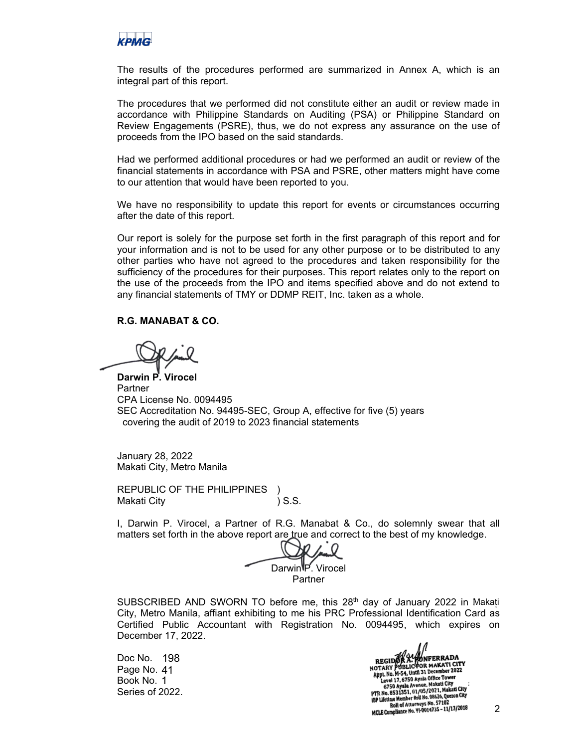

The results of the procedures performed are summarized in Annex A, which is an integral part of this report.

The procedures that we performed did not constitute either an audit or review made in accordance with Philippine Standards on Auditing (PSA) or Philippine Standard on Review Engagements (PSRE), thus, we do not express any assurance on the use of proceeds from the IPO based on the said standards.

Had we performed additional procedures or had we performed an audit or review of the financial statements in accordance with PSA and PSRE, other matters might have come to our attention that would have been reported to you.

We have no responsibility to update this report for events or circumstances occurring after the date of this report.

Our report is solely for the purpose set forth in the first paragraph of this report and for your information and is not to be used for any other purpose or to be distributed to any other parties who have not agreed to the procedures and taken responsibility for the sufficiency of the procedures for their purposes. This report relates only to the report on the use of the proceeds from the IPO and items specified above and do not extend to any financial statements of TMY or DDMP REIT, Inc. taken as a whole.

## **R.G. MANABAT & CO.**

**Darwin P. Virocel** Partner CPA License No. 0094495 SEC Accreditation No. 94495-SEC, Group A, effective for five (5) years covering the audit of 2019 to 2023 financial statements

January 28, 2022 Makati City, Metro Manila

REPUBLIC OF THE PHILIPPINES ) Makati City (3.S.

I, Darwin P. Virocel, a Partner of R.G. Manabat & Co., do solemnly swear that all matters set forth in the above report are true and correct to the best of my knowledge.

Darwin<sup>g</sup> Virocel Partner

SUBSCRIBED AND SWORN TO before me, this  $28<sup>th</sup>$  day of January 2022 in Makati City, Metro Manila, affiant exhibiting to me his PRC Professional Identification Card as Certified Public Accountant with Registration No. 0094495, which expires on December 17, 2022.

Doc No. 198 Page No. 41 Book No. 1 Series of 2022. 1/11 MEGIDOR A. WONFERRADA<br>
NOTARY PUBLIC FOR MAKATI CITY<br>
Appl. No. M-54, Until 31 December 2022<br>
Level 17, 6750 Ayala Office Tower<br>
6750 Ayala Avenue, Makati City<br>
17, 6. B531351, 01, 05/2021, Makati City<br>
189 Lifetime M IBP Lifetime Member Roll No. 08626, Quessin any<br>Roll of Attorneys No. 57102<br>MCLE Compliance No. 91-0014735 - 11/13/2018

2